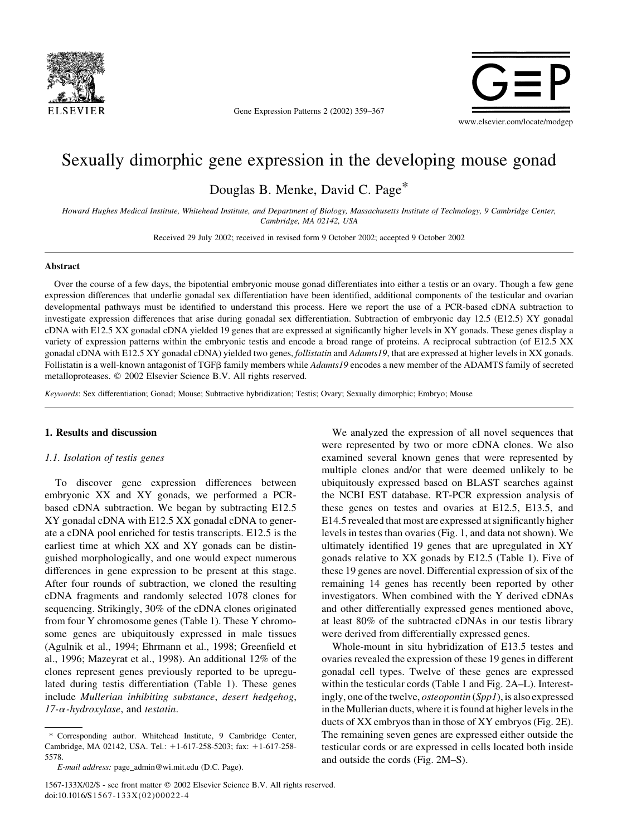

Gene Expression Patterns 2 (2002) 359–367



# Sexually dimorphic gene expression in the developing mouse gonad

Douglas B. Menke, David C. Page\*

Howard Hughes Medical Institute, Whitehead Institute, and Department of Biology, Massachusetts Institute of Technology, 9 Cambridge Center, Cambridge, MA 02142, USA

Received 29 July 2002; received in revised form 9 October 2002; accepted 9 October 2002

#### Abstract

Over the course of a few days, the bipotential embryonic mouse gonad differentiates into either a testis or an ovary. Though a few gene expression differences that underlie gonadal sex differentiation have been identified, additional components of the testicular and ovarian developmental pathways must be identified to understand this process. Here we report the use of a PCR-based cDNA subtraction to investigate expression differences that arise during gonadal sex differentiation. Subtraction of embryonic day 12.5 (E12.5) XY gonadal cDNA with E12.5 XX gonadal cDNA yielded 19 genes that are expressed at significantly higher levels in XY gonads. These genes display a variety of expression patterns within the embryonic testis and encode a broad range of proteins. A reciprocal subtraction (of E12.5 XX gonadal cDNA with E12.5 XY gonadal cDNA) yielded two genes, *follistatin* and *Adamts19*, that are expressed at higher levels in XX gonads. Follistatin is a well-known antagonist of TGFB family members while Adamts19 encodes a new member of the ADAMTS family of secreted metalloproteases. q 2002 Elsevier Science B.V. All rights reserved.

Keywords: Sex differentiation; Gonad; Mouse; Subtractive hybridization; Testis; Ovary; Sexually dimorphic; Embryo; Mouse

## 1. Results and discussion

#### 1.1. Isolation of testis genes

To discover gene expression differences between embryonic XX and XY gonads, we performed a PCRbased cDNA subtraction. We began by subtracting E12.5 XY gonadal cDNA with E12.5 XX gonadal cDNA to generate a cDNA pool enriched for testis transcripts. E12.5 is the earliest time at which XX and XY gonads can be distinguished morphologically, and one would expect numerous differences in gene expression to be present at this stage. After four rounds of subtraction, we cloned the resulting cDNA fragments and randomly selected 1078 clones for sequencing. Strikingly, 30% of the cDNA clones originated from four Y chromosome genes (Table 1). These Y chromosome genes are ubiquitously expressed in male tissues (Agulnik et al., 1994; Ehrmann et al., 1998; Greenfield et al., 1996; Mazeyrat et al., 1998). An additional 12% of the clones represent genes previously reported to be upregulated during testis differentiation (Table 1). These genes include Mullerian inhibiting substance, desert hedgehog,  $17$ - $\alpha$ -hydroxylase, and testatin.

\* Corresponding author. Whitehead Institute, 9 Cambridge Center, Cambridge, MA 02142, USA. Tel.: +1-617-258-5203; fax: +1-617-258-5578.

We analyzed the expression of all novel sequences that were represented by two or more cDNA clones. We also examined several known genes that were represented by multiple clones and/or that were deemed unlikely to be ubiquitously expressed based on BLAST searches against the NCBI EST database. RT-PCR expression analysis of these genes on testes and ovaries at E12.5, E13.5, and E14.5 revealed that most are expressed at significantly higher levels in testes than ovaries (Fig. 1, and data not shown). We ultimately identified 19 genes that are upregulated in XY gonads relative to XX gonads by E12.5 (Table 1). Five of these 19 genes are novel. Differential expression of six of the remaining 14 genes has recently been reported by other investigators. When combined with the Y derived cDNAs and other differentially expressed genes mentioned above, at least 80% of the subtracted cDNAs in our testis library were derived from differentially expressed genes.

Whole-mount in situ hybridization of E13.5 testes and ovaries revealed the expression of these 19 genes in different gonadal cell types. Twelve of these genes are expressed within the testicular cords (Table 1 and Fig. 2A–L). Interestingly, one of the twelve, osteopontin (Spp1), is also expressed in the Mullerian ducts, where it is found at higher levels in the ducts of XX embryos than in those of XY embryos (Fig. 2E). The remaining seven genes are expressed either outside the testicular cords or are expressed in cells located both inside and outside the cords (Fig. 2M–S).

E-mail address: page\_admin@wi.mit.edu (D.C. Page).

<sup>1567-133</sup>X/02/\$ - see front matter q 2002 Elsevier Science B.V. All rights reserved. doi:10.1016/S1567-133X(02)00022-4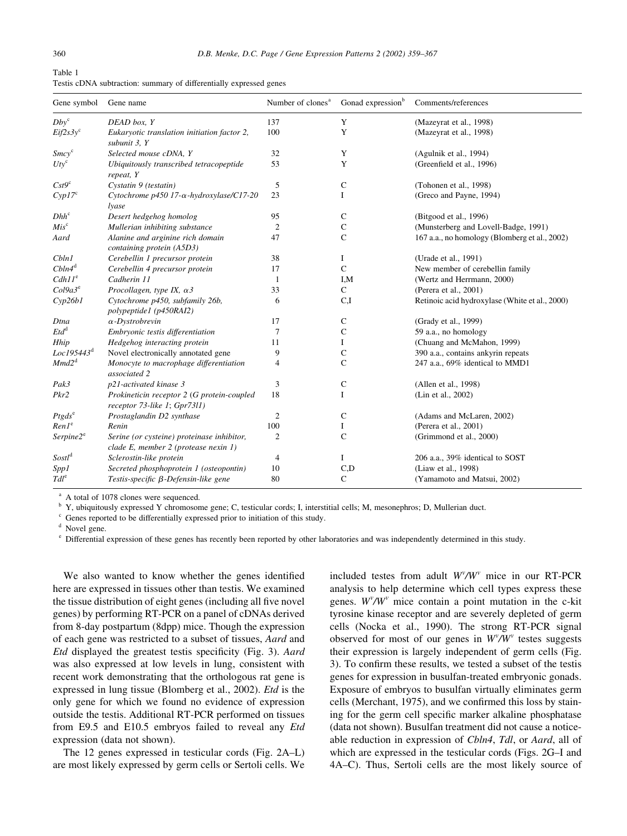| Table 1 |  |                                                                    |  |
|---------|--|--------------------------------------------------------------------|--|
|         |  | Testis cDNA subtraction: summary of differentially expressed genes |  |

| Gene symbol            | Gene name                                                                          | Number of clones <sup>a</sup> | Gonad expression <sup>b</sup> | Comments/references                            |
|------------------------|------------------------------------------------------------------------------------|-------------------------------|-------------------------------|------------------------------------------------|
| $Dby^c$                | DEAD box, Y                                                                        | 137                           | Y                             | (Mazeyrat et al., 1998)                        |
| $Eif2s3y^c$            | Eukaryotic translation initiation factor 2,<br>subunit 3, Y                        | 100                           | Y                             | (Mazeyrat et al., 1998)                        |
| Smcy <sup>c</sup>      | Selected mouse cDNA, Y                                                             | 32                            | Y                             | (Agulnik et al., 1994)                         |
| $U$ ty <sup>c</sup>    | Ubiquitously transcribed tetracopeptide<br>repeat, Y                               | 53                            | Y                             | (Greenfield et al., 1996)                      |
| Cst9c                  | Cystatin 9 (testatin)                                                              | 5                             | $\mathbf C$                   | (Tohonen et al., 1998)                         |
| $Cyp17^c$              | Cytochrome $p450$ 17- $\alpha$ -hydroxylase/C17-20<br>lyase                        | 23                            | I                             | (Greco and Payne, 1994)                        |
| $Dhh^c$                | Desert hedgehog homolog                                                            | 95                            | C                             | (Bitgood et al., 1996)                         |
| $Mis^c$                | Mullerian inhibiting substance                                                     | $\overline{2}$                | $\mathsf C$                   | (Munsterberg and Lovell-Badge, 1991)           |
| Aard                   | Alanine and arginine rich domain<br>containing protein (A5D3)                      | 47                            | $\mathsf{C}$                  | 167 a.a., no homology (Blomberg et al., 2002)  |
| Cbln1                  | Cerebellin 1 precursor protein                                                     | 38                            | Ι.                            | (Urade et al., 1991)                           |
| $ChIn4^d$              | Cerebellin 4 precursor protein                                                     | 17                            | $\mathbf C$                   | New member of cerebellin family                |
| $Cdh11^e$              | Cadherin 11                                                                        | -1                            | I,M                           | (Wertz and Herrmann, 2000)                     |
| $Col9a3^e$             | Procollagen, type IX, $\alpha$ 3                                                   | 33                            | $\mathsf{C}$                  | (Perera et al., 2001)                          |
| Cyp26b1                | Cytochrome p450, subfamily 26b,<br>polypeptide1 (p450RAI2)                         | 6                             | C,I                           | Retinoic acid hydroxylase (White et al., 2000) |
| Dtna                   | $\alpha$ -Dystrobrevin                                                             | 17                            | C                             | (Grady et al., 1999)                           |
| $Etd^d$                | Embryonic testis differentiation                                                   | 7                             | $\mathsf{C}$                  | 59 a.a., no homology                           |
| Hhip                   | Hedgehog interacting protein                                                       | 11                            | Ι                             | (Chuang and McMahon, 1999)                     |
| Loc195443 <sup>d</sup> | Novel electronically annotated gene                                                | 9                             | C                             | 390 a.a., contains ankyrin repeats             |
| Mmd2 <sup>d</sup>      | Monocyte to macrophage differentiation<br>associated 2                             | 4                             | $\mathsf{C}$                  | 247 a.a., 69% identical to MMD1                |
| Pak3                   | p21-activated kinase 3                                                             | 3                             | $\mathbf C$                   | (Allen et al., 1998)                           |
| Pkr2                   | Prokineticin receptor 2 (G protein-coupled<br>receptor 73-like 1; Gpr73l1)         | 18                            | Ι                             | (Lin et al., 2002)                             |
| $Ptgds^e$              | Prostaglandin D2 synthase                                                          | $\mathbf{2}$                  | $\mathbf C$                   | (Adams and McLaren, 2002)                      |
| RenI <sup>e</sup>      | Renin                                                                              | 100                           | Ι.                            | (Perera et al., 2001)                          |
| Serpine2 <sup>e</sup>  | Serine (or cysteine) proteinase inhibitor,<br>clade E, member 2 (protease nexin 1) | $\overline{2}$                | $\mathsf{C}$                  | (Grimmond et al., 2000)                        |
| $Sostl^d$              | Sclerostin-like protein                                                            | $\overline{4}$                | Ι                             | 206 a.a., 39% identical to SOST                |
| Spp1                   | Secreted phosphoprotein 1 (osteopontin)                                            | 10                            | C,D                           | (Liaw et al., 1998)                            |
| Tdl <sup>e</sup>       | Testis-specific β-Defensin-like gene                                               | 80                            | $\mathsf{C}$                  | (Yamamoto and Matsui, 2002)                    |

<sup>a</sup> A total of 1078 clones were sequenced.

<sup>b</sup> Y, ubiquitously expressed Y chromosome gene; C, testicular cords; I, interstitial cells; M, mesonephros; D, Mullerian duct.

Genes reported to be differentially expressed prior to initiation of this study.

Novel gene.

 $e$  Differential expression of these genes has recently been reported by other laboratories and was independently determined in this study.

We also wanted to know whether the genes identified here are expressed in tissues other than testis. We examined the tissue distribution of eight genes (including all five novel genes) by performing RT-PCR on a panel of cDNAs derived from 8-day postpartum (8dpp) mice. Though the expression of each gene was restricted to a subset of tissues, Aard and Etd displayed the greatest testis specificity (Fig. 3). Aard was also expressed at low levels in lung, consistent with recent work demonstrating that the orthologous rat gene is expressed in lung tissue (Blomberg et al., 2002). Etd is the only gene for which we found no evidence of expression outside the testis. Additional RT-PCR performed on tissues from E9.5 and E10.5 embryos failed to reveal any Etd expression (data not shown).

The 12 genes expressed in testicular cords (Fig. 2A–L) are most likely expressed by germ cells or Sertoli cells. We

included testes from adult  $W^{\nu}/W^{\nu}$  mice in our RT-PCR analysis to help determine which cell types express these genes.  $W^{\nu}/W^{\nu}$  mice contain a point mutation in the c-kit tyrosine kinase receptor and are severely depleted of germ cells (Nocka et al., 1990). The strong RT-PCR signal observed for most of our genes in  $W^{\nu}/W^{\nu}$  testes suggests their expression is largely independent of germ cells (Fig. 3). To confirm these results, we tested a subset of the testis genes for expression in busulfan-treated embryonic gonads. Exposure of embryos to busulfan virtually eliminates germ cells (Merchant, 1975), and we confirmed this loss by staining for the germ cell specific marker alkaline phosphatase (data not shown). Busulfan treatment did not cause a noticeable reduction in expression of Cbln4, Tdl, or Aard, all of which are expressed in the testicular cords (Figs. 2G–I and 4A–C). Thus, Sertoli cells are the most likely source of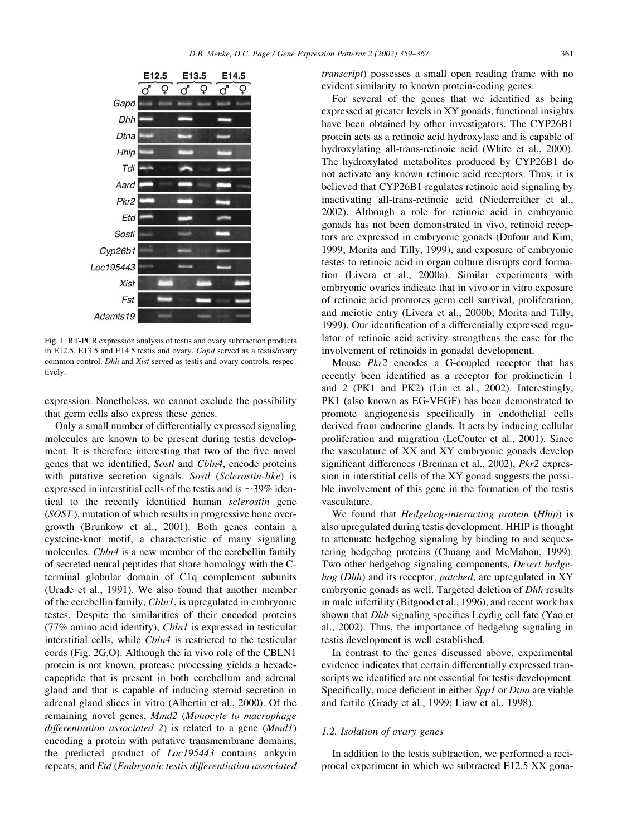

Fig. 1. RT-PCR expression analysis of testis and ovary subtraction products in E12.5, E13.5 and E14.5 testis and ovary. Gapd served as a testis/ovary common control. Dhh and Xist served as testis and ovary controls, respectively.

expression. Nonetheless, we cannot exclude the possibility that germ cells also express these genes.

Only a small number of differentially expressed signaling molecules are known to be present during testis development. It is therefore interesting that two of the five novel genes that we identified, Sostl and Cbln4, encode proteins with putative secretion signals. Sostl (Sclerostin-like) is expressed in interstitial cells of the testis and is  $\sim$ 39% identical to the recently identified human sclerostin gene (SOST ), mutation of which results in progressive bone overgrowth (Brunkow et al., 2001). Both genes contain a cysteine-knot motif, a characteristic of many signaling molecules. Chln4 is a new member of the cerebellin family of secreted neural peptides that share homology with the Cterminal globular domain of C1q complement subunits (Urade et al., 1991). We also found that another member of the cerebellin family, Cbln1, is upregulated in embryonic testes. Despite the similarities of their encoded proteins (77% amino acid identity), Cbln1 is expressed in testicular interstitial cells, while Cbln4 is restricted to the testicular cords (Fig. 2G,O). Although the in vivo role of the CBLN1 protein is not known, protease processing yields a hexadecapeptide that is present in both cerebellum and adrenal gland and that is capable of inducing steroid secretion in adrenal gland slices in vitro (Albertin et al., 2000). Of the remaining novel genes, Mmd2 (Monocyte to macrophage differentiation associated 2) is related to a gene  $(MmdI)$ encoding a protein with putative transmembrane domains, the predicted product of Loc195443 contains ankyrin repeats, and Etd (Embryonic testis differentiation associated transcript) possesses a small open reading frame with no evident similarity to known protein-coding genes.

For several of the genes that we identified as being expressed at greater levels in XY gonads, functional insights have been obtained by other investigators. The CYP26B1 protein acts as a retinoic acid hydroxylase and is capable of hydroxylating all-trans-retinoic acid (White et al., 2000). The hydroxylated metabolites produced by CYP26B1 do not activate any known retinoic acid receptors. Thus, it is believed that CYP26B1 regulates retinoic acid signaling by inactivating all-trans-retinoic acid (Niederreither et al., 2002). Although a role for retinoic acid in embryonic gonads has not been demonstrated in vivo, retinoid receptors are expressed in embryonic gonads (Dufour and Kim, 1999; Morita and Tilly, 1999), and exposure of embryonic testes to retinoic acid in organ culture disrupts cord formation (Livera et al., 2000a). Similar experiments with embryonic ovaries indicate that in vivo or in vitro exposure of retinoic acid promotes germ cell survival, proliferation, and meiotic entry (Livera et al., 2000b; Morita and Tilly, 1999). Our identification of a differentially expressed regulator of retinoic acid activity strengthens the case for the involvement of retinoids in gonadal development.

Mouse Pkr2 encodes a G-coupled receptor that has recently been identified as a receptor for prokineticin 1 and 2 (PK1 and PK2) (Lin et al., 2002). Interestingly, PK1 (also known as EG-VEGF) has been demonstrated to promote angiogenesis specifically in endothelial cells derived from endocrine glands. It acts by inducing cellular proliferation and migration (LeCouter et al., 2001). Since the vasculature of XX and XY embryonic gonads develop significant differences (Brennan et al., 2002), Pkr2 expression in interstitial cells of the XY gonad suggests the possible involvement of this gene in the formation of the testis vasculature.

We found that Hedgehog-interacting protein (Hhip) is also upregulated during testis development. HHIP is thought to attenuate hedgehog signaling by binding to and sequestering hedgehog proteins (Chuang and McMahon, 1999). Two other hedgehog signaling components, Desert hedgehog (Dhh) and its receptor, patched, are upregulated in XY embryonic gonads as well. Targeted deletion of Dhh results in male infertility (Bitgood et al., 1996), and recent work has shown that Dhh signaling specifies Leydig cell fate (Yao et al., 2002). Thus, the importance of hedgehog signaling in testis development is well established.

In contrast to the genes discussed above, experimental evidence indicates that certain differentially expressed transcripts we identified are not essential for testis development. Specifically, mice deficient in either Spp1 or Dtna are viable and fertile (Grady et al., 1999; Liaw et al., 1998).

#### 1.2. Isolation of ovary genes

In addition to the testis subtraction, we performed a reciprocal experiment in which we subtracted E12.5 XX gona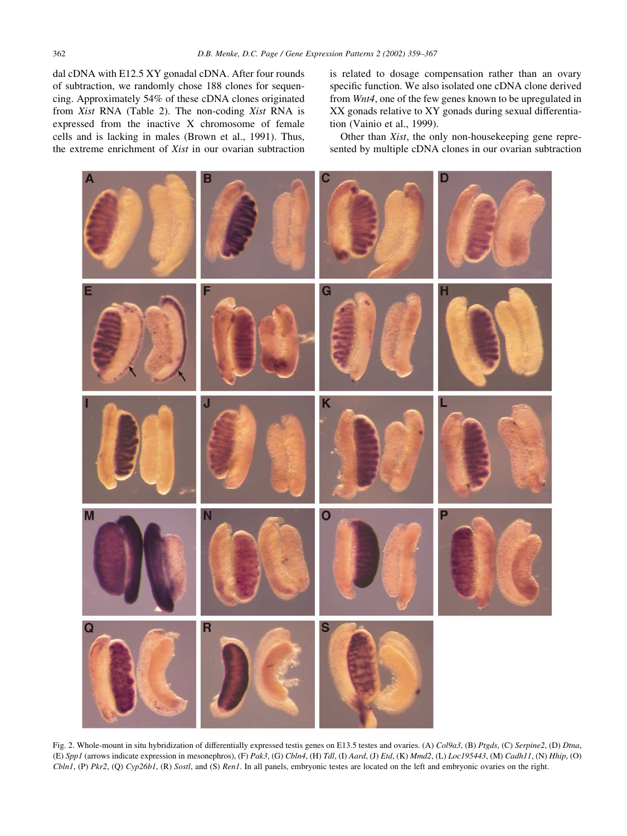dal cDNA with E12.5 XY gonadal cDNA. After four rounds of subtraction, we randomly chose 188 clones for sequencing. Approximately 54% of these cDNA clones originated from Xist RNA (Table 2). The non-coding Xist RNA is expressed from the inactive X chromosome of female cells and is lacking in males (Brown et al., 1991). Thus, the extreme enrichment of Xist in our ovarian subtraction is related to dosage compensation rather than an ovary specific function. We also isolated one cDNA clone derived from Wnt4, one of the few genes known to be upregulated in XX gonads relative to XY gonads during sexual differentiation (Vainio et al., 1999).

Other than Xist, the only non-housekeeping gene represented by multiple cDNA clones in our ovarian subtraction



Fig. 2. Whole-mount in situ hybridization of differentially expressed testis genes on E13.5 testes and ovaries. (A) Col9a3, (B) Ptgds, (C) Serpine2, (D) Dtna, (E) Spp1 (arrows indicate expression in mesonephros), (F) Pak3, (G) Cbln4, (H) Tdl, (I) Aard, (J) Etd, (K) Mmd2, (L) Loc195443, (M) Cadh11, (N) Hhip, (O)  $ChInI$ , (P)  $Pkr2$ , (Q)  $Cyp26bI$ , (R) Sostl, and (S) Ren1. In all panels, embryonic testes are located on the left and embryonic ovaries on the right.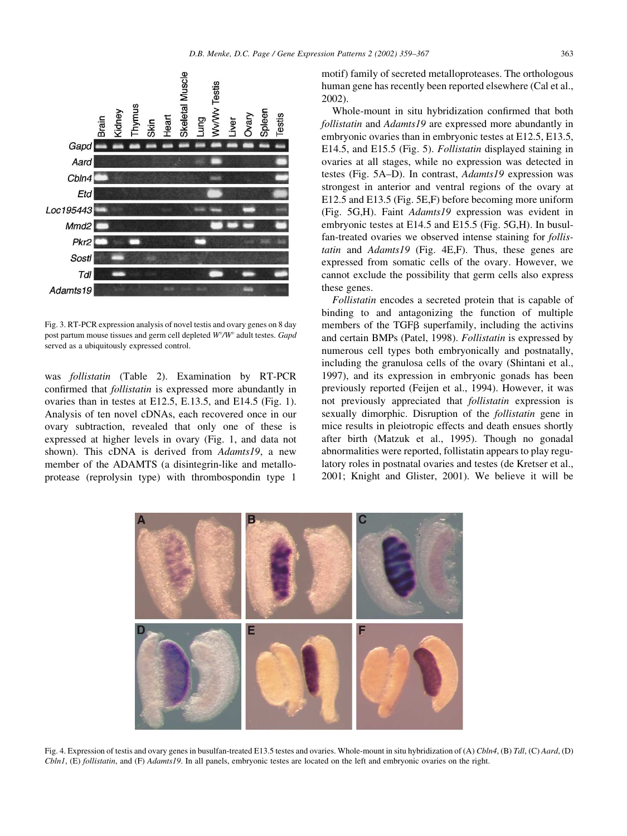

Fig. 3. RT-PCR expression analysis of novel testis and ovary genes on 8 day post partum mouse tissues and germ cell depleted  $W^{\nu}/W^{\nu}$  adult testes. Gapd served as a ubiquitously expressed control.

was follistatin (Table 2). Examination by RT-PCR confirmed that follistatin is expressed more abundantly in ovaries than in testes at E12.5, E.13.5, and E14.5 (Fig. 1). Analysis of ten novel cDNAs, each recovered once in our ovary subtraction, revealed that only one of these is expressed at higher levels in ovary (Fig. 1, and data not shown). This cDNA is derived from Adamts19, a new member of the ADAMTS (a disintegrin-like and metalloprotease (reprolysin type) with thrombospondin type 1

motif) family of secreted metalloproteases. The orthologous human gene has recently been reported elsewhere (Cal et al., 2002).

Whole-mount in situ hybridization confirmed that both follistatin and Adamts19 are expressed more abundantly in embryonic ovaries than in embryonic testes at E12.5, E13.5, E14.5, and E15.5 (Fig. 5). Follistatin displayed staining in ovaries at all stages, while no expression was detected in testes (Fig. 5A–D). In contrast, Adamts19 expression was strongest in anterior and ventral regions of the ovary at E12.5 and E13.5 (Fig. 5E,F) before becoming more uniform (Fig. 5G,H). Faint Adamts19 expression was evident in embryonic testes at E14.5 and E15.5 (Fig. 5G,H). In busulfan-treated ovaries we observed intense staining for follistatin and Adamts19 (Fig. 4E,F). Thus, these genes are expressed from somatic cells of the ovary. However, we cannot exclude the possibility that germ cells also express these genes.

Follistatin encodes a secreted protein that is capable of binding to and antagonizing the function of multiple members of the TGF<sub>B</sub> superfamily, including the activins and certain BMPs (Patel, 1998). Follistatin is expressed by numerous cell types both embryonically and postnatally, including the granulosa cells of the ovary (Shintani et al., 1997), and its expression in embryonic gonads has been previously reported (Feijen et al., 1994). However, it was not previously appreciated that follistatin expression is sexually dimorphic. Disruption of the *follistatin* gene in mice results in pleiotropic effects and death ensues shortly after birth (Matzuk et al., 1995). Though no gonadal abnormalities were reported, follistatin appears to play regulatory roles in postnatal ovaries and testes (de Kretser et al., 2001; Knight and Glister, 2001). We believe it will be



Fig. 4. Expression of testis and ovary genes in busulfan-treated E13.5 testes and ovaries. Whole-mount in situ hybridization of (A) Cbln4, (B) Tdl, (C) Aard, (D) Cbln1, (E) follistatin, and (F) Adamts19. In all panels, embryonic testes are located on the left and embryonic ovaries on the right.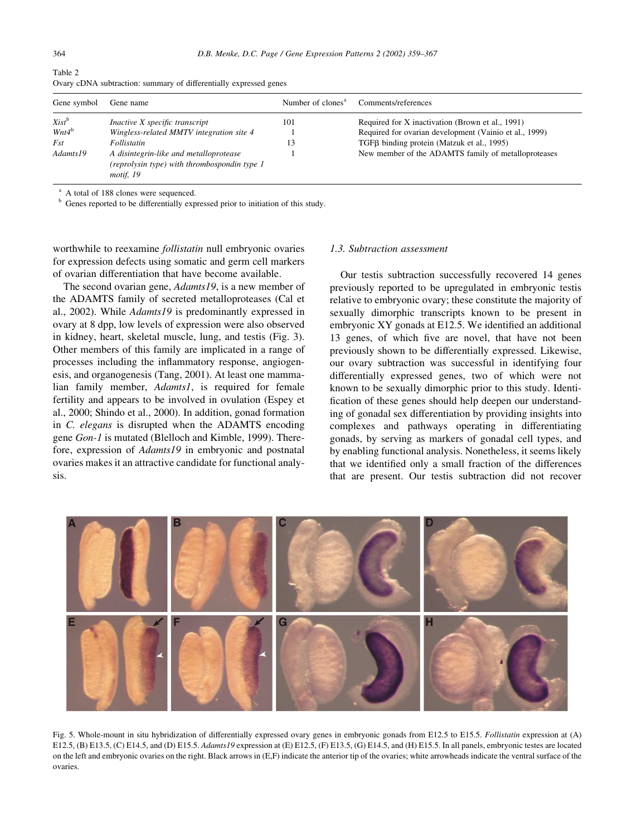| Gene symbol                                                                                                     | Gene name                                | Number of clones <sup>a</sup> | Comments/references                                    |
|-----------------------------------------------------------------------------------------------------------------|------------------------------------------|-------------------------------|--------------------------------------------------------|
| $Xist^b$                                                                                                        | Inactive X specific transcript           | 101                           | Required for X inactivation (Brown et al., 1991)       |
| $Wnt4^b$                                                                                                        | Wingless-related MMTV integration site 4 |                               | Required for ovarian development (Vainio et al., 1999) |
| <b>Fst</b>                                                                                                      | Follistatin                              | 13                            | TGFβ binding protein (Matzuk et al., 1995)             |
| Adamts19<br>A disintegrin-like and metalloprotease<br>(reprolysin type) with thrombospondin type 1<br>motif, 19 |                                          |                               | New member of the ADAMTS family of metalloproteases    |

Table 2 Ovary cDNA subtraction: summary of differentially expressed genes

<sup>a</sup> A total of 188 clones were sequenced.

<sup>b</sup> Genes reported to be differentially expressed prior to initiation of this study.

worthwhile to reexamine follistatin null embryonic ovaries for expression defects using somatic and germ cell markers of ovarian differentiation that have become available.

The second ovarian gene, *Adamts19*, is a new member of the ADAMTS family of secreted metalloproteases (Cal et al., 2002). While Adamts19 is predominantly expressed in ovary at 8 dpp, low levels of expression were also observed in kidney, heart, skeletal muscle, lung, and testis (Fig. 3). Other members of this family are implicated in a range of processes including the inflammatory response, angiogenesis, and organogenesis (Tang, 2001). At least one mammalian family member, Adamts1, is required for female fertility and appears to be involved in ovulation (Espey et al., 2000; Shindo et al., 2000). In addition, gonad formation in C. elegans is disrupted when the ADAMTS encoding gene Gon-1 is mutated (Blelloch and Kimble, 1999). Therefore, expression of Adamts19 in embryonic and postnatal ovaries makes it an attractive candidate for functional analysis.

#### 1.3. Subtraction assessment

Our testis subtraction successfully recovered 14 genes previously reported to be upregulated in embryonic testis relative to embryonic ovary; these constitute the majority of sexually dimorphic transcripts known to be present in embryonic XY gonads at E12.5. We identified an additional 13 genes, of which five are novel, that have not been previously shown to be differentially expressed. Likewise, our ovary subtraction was successful in identifying four differentially expressed genes, two of which were not known to be sexually dimorphic prior to this study. Identification of these genes should help deepen our understanding of gonadal sex differentiation by providing insights into complexes and pathways operating in differentiating gonads, by serving as markers of gonadal cell types, and by enabling functional analysis. Nonetheless, it seems likely that we identified only a small fraction of the differences that are present. Our testis subtraction did not recover



Fig. 5. Whole-mount in situ hybridization of differentially expressed ovary genes in embryonic gonads from E12.5 to E15.5. Follistatin expression at (A) E12.5, (B) E13.5, (C) E14.5, and (D) E15.5. Adamts19 expression at (E) E12.5, (F) E13.5, (G) E14.5, and (H) E15.5. In all panels, embryonic testes are located on the left and embryonic ovaries on the right. Black arrows in (E,F) indicate the anterior tip of the ovaries; white arrowheads indicate the ventral surface of the ovaries.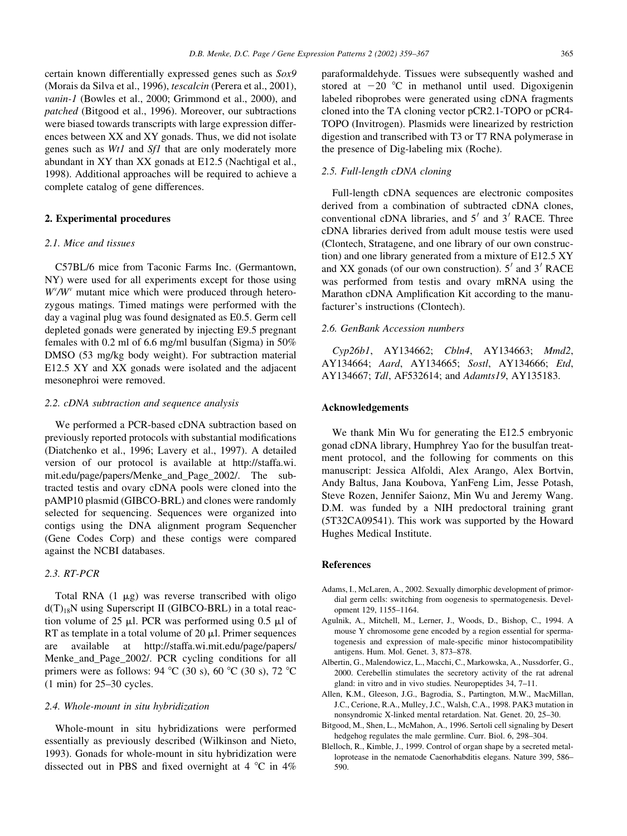certain known differentially expressed genes such as Sox9 (Morais da Silva et al., 1996), tescalcin (Perera et al., 2001), vanin-1 (Bowles et al., 2000; Grimmond et al., 2000), and patched (Bitgood et al., 1996). Moreover, our subtractions were biased towards transcripts with large expression differences between XX and XY gonads. Thus, we did not isolate genes such as Wt1 and Sf1 that are only moderately more abundant in XY than XX gonads at E12.5 (Nachtigal et al., 1998). Additional approaches will be required to achieve a complete catalog of gene differences.

## 2. Experimental procedures

## 2.1. Mice and tissues

C57BL/6 mice from Taconic Farms Inc. (Germantown, NY) were used for all experiments except for those using  $W^{\nu}/W^{\nu}$  mutant mice which were produced through heterozygous matings. Timed matings were performed with the day a vaginal plug was found designated as E0.5. Germ cell depleted gonads were generated by injecting E9.5 pregnant females with 0.2 ml of 6.6 mg/ml busulfan (Sigma) in 50% DMSO (53 mg/kg body weight). For subtraction material E12.5 XY and XX gonads were isolated and the adjacent mesonephroi were removed.

#### 2.2. cDNA subtraction and sequence analysis

We performed a PCR-based cDNA subtraction based on previously reported protocols with substantial modifications (Diatchenko et al., 1996; Lavery et al., 1997). A detailed version of our protocol is available at http://staffa.wi. mit.edu/page/papers/Menke\_and\_Page\_2002/. The subtracted testis and ovary cDNA pools were cloned into the pAMP10 plasmid (GIBCO-BRL) and clones were randomly selected for sequencing. Sequences were organized into contigs using the DNA alignment program Sequencher (Gene Codes Corp) and these contigs were compared against the NCBI databases.

## 2.3. RT-PCR

Total RNA  $(1 \mu g)$  was reverse transcribed with oligo  $d(T)_{18}N$  using Superscript II (GIBCO-BRL) in a total reaction volume of 25  $\mu$ l. PCR was performed using 0.5  $\mu$ l of RT as template in a total volume of  $20 \mu l$ . Primer sequences are available at http://staffa.wi.mit.edu/page/papers/ Menke\_and\_Page\_2002/. PCR cycling conditions for all primers were as follows: 94  $^{\circ}$ C (30 s), 60  $^{\circ}$ C (30 s), 72  $^{\circ}$ C (1 min) for 25–30 cycles.

#### 2.4. Whole-mount in situ hybridization

Whole-mount in situ hybridizations were performed essentially as previously described (Wilkinson and Nieto, 1993). Gonads for whole-mount in situ hybridization were dissected out in PBS and fixed overnight at 4  $\degree$ C in 4%

paraformaldehyde. Tissues were subsequently washed and stored at  $-20$  °C in methanol until used. Digoxigenin labeled riboprobes were generated using cDNA fragments cloned into the TA cloning vector pCR2.1-TOPO or pCR4- TOPO (Invitrogen). Plasmids were linearized by restriction digestion and transcribed with T3 or T7 RNA polymerase in the presence of Dig-labeling mix (Roche).

# 2.5. Full-length cDNA cloning

Full-length cDNA sequences are electronic composites derived from a combination of subtracted cDNA clones, conventional cDNA libraries, and  $5'$  and  $3'$  RACE. Three cDNA libraries derived from adult mouse testis were used (Clontech, Stratagene, and one library of our own construction) and one library generated from a mixture of E12.5 XY and XX gonads (of our own construction).  $5<sup>'</sup>$  and  $3<sup>'</sup>$  RACE was performed from testis and ovary mRNA using the Marathon cDNA Amplification Kit according to the manufacturer's instructions (Clontech).

## 2.6. GenBank Accession numbers

Cyp26b1, AY134662; Cbln4, AY134663; Mmd2, AY134664; Aard, AY134665; Sostl, AY134666; Etd, AY134667; Tdl, AF532614; and Adamts19, AY135183.

#### Acknowledgements

We thank Min Wu for generating the E12.5 embryonic gonad cDNA library, Humphrey Yao for the busulfan treatment protocol, and the following for comments on this manuscript: Jessica Alfoldi, Alex Arango, Alex Bortvin, Andy Baltus, Jana Koubova, YanFeng Lim, Jesse Potash, Steve Rozen, Jennifer Saionz, Min Wu and Jeremy Wang. D.M. was funded by a NIH predoctoral training grant (5T32CA09541). This work was supported by the Howard Hughes Medical Institute.

#### References

- Adams, I., McLaren, A., 2002. Sexually dimorphic development of primordial germ cells: switching from oogenesis to spermatogenesis. Development 129, 1155–1164.
- Agulnik, A., Mitchell, M., Lerner, J., Woods, D., Bishop, C., 1994. A mouse Y chromosome gene encoded by a region essential for spermatogenesis and expression of male-specific minor histocompatibility antigens. Hum. Mol. Genet. 3, 873–878.
- Albertin, G., Malendowicz, L., Macchi, C., Markowska, A., Nussdorfer, G., 2000. Cerebellin stimulates the secretory activity of the rat adrenal gland: in vitro and in vivo studies. Neuropeptides 34, 7–11.
- Allen, K.M., Gleeson, J.G., Bagrodia, S., Partington, M.W., MacMillan, J.C., Cerione, R.A., Mulley, J.C., Walsh, C.A., 1998. PAK3 mutation in nonsyndromic X-linked mental retardation. Nat. Genet. 20, 25–30.
- Bitgood, M., Shen, L., McMahon, A., 1996. Sertoli cell signaling by Desert hedgehog regulates the male germline. Curr. Biol. 6, 298–304.
- Blelloch, R., Kimble, J., 1999. Control of organ shape by a secreted metalloprotease in the nematode Caenorhabditis elegans. Nature 399, 586– 590.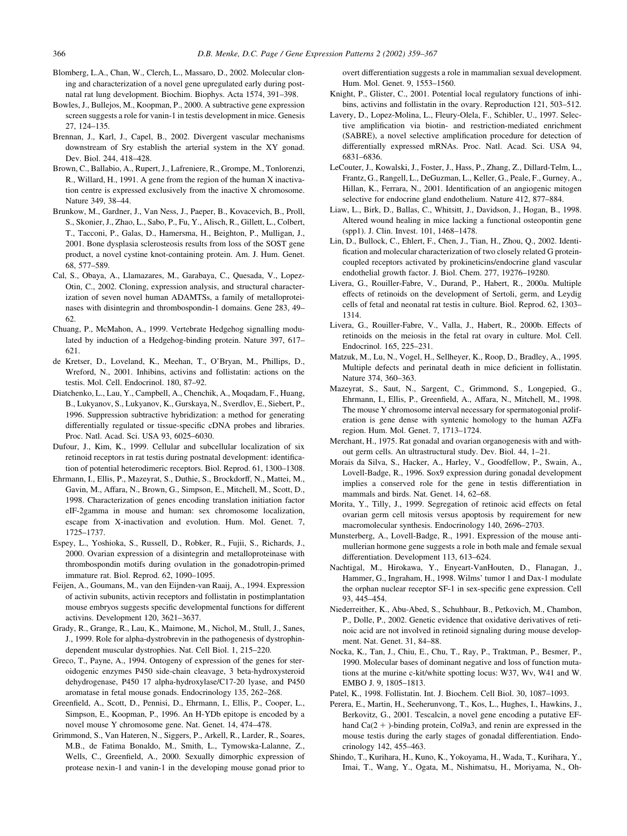- Blomberg, L.A., Chan, W., Clerch, L., Massaro, D., 2002. Molecular cloning and characterization of a novel gene upregulated early during postnatal rat lung development. Biochim. Biophys. Acta 1574, 391–398.
- Bowles, J., Bullejos, M., Koopman, P., 2000. A subtractive gene expression screen suggests a role for vanin-1 in testis development in mice. Genesis 27, 124–135.
- Brennan, J., Karl, J., Capel, B., 2002. Divergent vascular mechanisms downstream of Sry establish the arterial system in the XY gonad. Dev. Biol. 244, 418–428.
- Brown, C., Ballabio, A., Rupert, J., Lafreniere, R., Grompe, M., Tonlorenzi, R., Willard, H., 1991. A gene from the region of the human X inactivation centre is expressed exclusively from the inactive X chromosome. Nature 349, 38–44.
- Brunkow, M., Gardner, J., Van Ness, J., Paeper, B., Kovacevich, B., Proll, S., Skonier, J., Zhao, L., Sabo, P., Fu, Y., Alisch, R., Gillett, L., Colbert, T., Tacconi, P., Galas, D., Hamersma, H., Beighton, P., Mulligan, J., 2001. Bone dysplasia sclerosteosis results from loss of the SOST gene product, a novel cystine knot-containing protein. Am. J. Hum. Genet. 68, 577–589.
- Cal, S., Obaya, A., Llamazares, M., Garabaya, C., Quesada, V., Lopez-Otin, C., 2002. Cloning, expression analysis, and structural characterization of seven novel human ADAMTSs, a family of metalloproteinases with disintegrin and thrombospondin-1 domains. Gene 283, 49– 62.
- Chuang, P., McMahon, A., 1999. Vertebrate Hedgehog signalling modulated by induction of a Hedgehog-binding protein. Nature 397, 617– 621.
- de Kretser, D., Loveland, K., Meehan, T., O'Bryan, M., Phillips, D., Wreford, N., 2001. Inhibins, activins and follistatin: actions on the testis. Mol. Cell. Endocrinol. 180, 87–92.
- Diatchenko, L., Lau, Y., Campbell, A., Chenchik, A., Moqadam, F., Huang, B., Lukyanov, S., Lukyanov, K., Gurskaya, N., Sverdlov, E., Siebert, P., 1996. Suppression subtractive hybridization: a method for generating differentially regulated or tissue-specific cDNA probes and libraries. Proc. Natl. Acad. Sci. USA 93, 6025–6030.
- Dufour, J., Kim, K., 1999. Cellular and subcellular localization of six retinoid receptors in rat testis during postnatal development: identification of potential heterodimeric receptors. Biol. Reprod. 61, 1300–1308.
- Ehrmann, I., Ellis, P., Mazeyrat, S., Duthie, S., Brockdorff, N., Mattei, M., Gavin, M., Affara, N., Brown, G., Simpson, E., Mitchell, M., Scott, D., 1998. Characterization of genes encoding translation initiation factor eIF-2gamma in mouse and human: sex chromosome localization, escape from X-inactivation and evolution. Hum. Mol. Genet. 7, 1725–1737.
- Espey, L., Yoshioka, S., Russell, D., Robker, R., Fujii, S., Richards, J., 2000. Ovarian expression of a disintegrin and metalloproteinase with thrombospondin motifs during ovulation in the gonadotropin-primed immature rat. Biol. Reprod. 62, 1090–1095.
- Feijen, A., Goumans, M., van den Eijnden-van Raaij, A., 1994. Expression of activin subunits, activin receptors and follistatin in postimplantation mouse embryos suggests specific developmental functions for different activins. Development 120, 3621–3637.
- Grady, R., Grange, R., Lau, K., Maimone, M., Nichol, M., Stull, J., Sanes, J., 1999. Role for alpha-dystrobrevin in the pathogenesis of dystrophindependent muscular dystrophies. Nat. Cell Biol. 1, 215–220.
- Greco, T., Payne, A., 1994. Ontogeny of expression of the genes for steroidogenic enzymes P450 side-chain cleavage, 3 beta-hydroxysteroid dehydrogenase, P450 17 alpha-hydroxylase/C17-20 lyase, and P450 aromatase in fetal mouse gonads. Endocrinology 135, 262–268.
- Greenfield, A., Scott, D., Pennisi, D., Ehrmann, I., Ellis, P., Cooper, L., Simpson, E., Koopman, P., 1996. An H-YDb epitope is encoded by a novel mouse Y chromosome gene. Nat. Genet. 14, 474–478.
- Grimmond, S., Van Hateren, N., Siggers, P., Arkell, R., Larder, R., Soares, M.B., de Fatima Bonaldo, M., Smith, L., Tymowska-Lalanne, Z., Wells, C., Greenfield, A., 2000. Sexually dimorphic expression of protease nexin-1 and vanin-1 in the developing mouse gonad prior to

overt differentiation suggests a role in mammalian sexual development. Hum. Mol. Genet. 9, 1553–1560.

- Knight, P., Glister, C., 2001. Potential local regulatory functions of inhibins, activins and follistatin in the ovary. Reproduction 121, 503–512.
- Lavery, D., Lopez-Molina, L., Fleury-Olela, F., Schibler, U., 1997. Selective amplification via biotin- and restriction-mediated enrichment (SABRE), a novel selective amplification procedure for detection of differentially expressed mRNAs. Proc. Natl. Acad. Sci. USA 94, 6831–6836.
- LeCouter, J., Kowalski, J., Foster, J., Hass, P., Zhang, Z., Dillard-Telm, L., Frantz, G., Rangell, L., DeGuzman, L., Keller, G., Peale, F., Gurney, A., Hillan, K., Ferrara, N., 2001. Identification of an angiogenic mitogen selective for endocrine gland endothelium. Nature 412, 877–884.
- Liaw, L., Birk, D., Ballas, C., Whitsitt, J., Davidson, J., Hogan, B., 1998. Altered wound healing in mice lacking a functional osteopontin gene (spp1). J. Clin. Invest. 101, 1468–1478.
- Lin, D., Bullock, C., Ehlert, F., Chen, J., Tian, H., Zhou, Q., 2002. Identification and molecular characterization of two closely related G proteincoupled receptors activated by prokineticins/endocrine gland vascular endothelial growth factor. J. Biol. Chem. 277, 19276–19280.
- Livera, G., Rouiller-Fabre, V., Durand, P., Habert, R., 2000a. Multiple effects of retinoids on the development of Sertoli, germ, and Leydig cells of fetal and neonatal rat testis in culture. Biol. Reprod. 62, 1303– 1314.
- Livera, G., Rouiller-Fabre, V., Valla, J., Habert, R., 2000b. Effects of retinoids on the meiosis in the fetal rat ovary in culture. Mol. Cell. Endocrinol. 165, 225–231.
- Matzuk, M., Lu, N., Vogel, H., Sellheyer, K., Roop, D., Bradley, A., 1995. Multiple defects and perinatal death in mice deficient in follistatin. Nature 374, 360–363.
- Mazeyrat, S., Saut, N., Sargent, C., Grimmond, S., Longepied, G., Ehrmann, I., Ellis, P., Greenfield, A., Affara, N., Mitchell, M., 1998. The mouse Y chromosome interval necessary for spermatogonial proliferation is gene dense with syntenic homology to the human AZFa region. Hum. Mol. Genet. 7, 1713–1724.
- Merchant, H., 1975. Rat gonadal and ovarian organogenesis with and without germ cells. An ultrastructural study. Dev. Biol. 44, 1–21.
- Morais da Silva, S., Hacker, A., Harley, V., Goodfellow, P., Swain, A., Lovell-Badge, R., 1996. Sox9 expression during gonadal development implies a conserved role for the gene in testis differentiation in mammals and birds. Nat. Genet. 14, 62–68.
- Morita, Y., Tilly, J., 1999. Segregation of retinoic acid effects on fetal ovarian germ cell mitosis versus apoptosis by requirement for new macromolecular synthesis. Endocrinology 140, 2696–2703.
- Munsterberg, A., Lovell-Badge, R., 1991. Expression of the mouse antimullerian hormone gene suggests a role in both male and female sexual differentiation. Development 113, 613–624.
- Nachtigal, M., Hirokawa, Y., Enyeart-VanHouten, D., Flanagan, J., Hammer, G., Ingraham, H., 1998. Wilms' tumor 1 and Dax-1 modulate the orphan nuclear receptor SF-1 in sex-specific gene expression. Cell 93, 445–454.
- Niederreither, K., Abu-Abed, S., Schuhbaur, B., Petkovich, M., Chambon, P., Dolle, P., 2002. Genetic evidence that oxidative derivatives of retinoic acid are not involved in retinoid signaling during mouse development. Nat. Genet. 31, 84–88.
- Nocka, K., Tan, J., Chiu, E., Chu, T., Ray, P., Traktman, P., Besmer, P., 1990. Molecular bases of dominant negative and loss of function mutations at the murine c-kit/white spotting locus: W37, Wv, W41 and W. EMBO J. 9, 1805–1813.
- Patel, K., 1998. Follistatin. Int. J. Biochem. Cell Biol. 30, 1087–1093.
- Perera, E., Martin, H., Seeherunvong, T., Kos, L., Hughes, I., Hawkins, J., Berkovitz, G., 2001. Tescalcin, a novel gene encoding a putative EFhand  $Ca(2 + )$ -binding protein, Col9a3, and renin are expressed in the mouse testis during the early stages of gonadal differentiation. Endocrinology 142, 455–463.
- Shindo, T., Kurihara, H., Kuno, K., Yokoyama, H., Wada, T., Kurihara, Y., Imai, T., Wang, Y., Ogata, M., Nishimatsu, H., Moriyama, N., Oh-